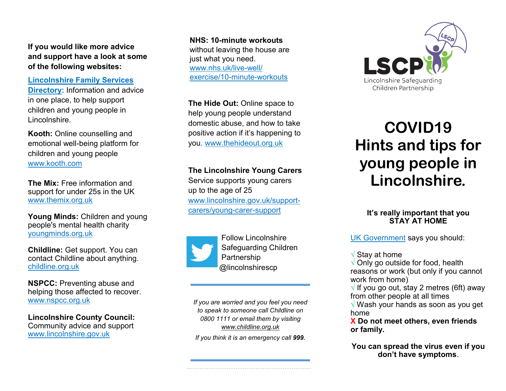**If you would like more advice and support have a look at some of the following websites:**

**[Lincolnshire Family Services](https://lincolnshire.fsd.org.uk/kb5/lincs/fsd/home.page)  [Directory:](https://lincolnshire.fsd.org.uk/kb5/lincs/fsd/home.page)** Information and advice in one place, to help support children and young people in Lincolnshire.

**Kooth:** Online counselling and emotional well-being platform for children and young people [www.kooth.com](https://www.kooth.com/)

**The Mix:** Free information and support for under 25s in the UK [www.themix.org.uk](https://www.themix.org.uk/)

**Young Minds:** Children and young people's mental health charity [youngminds.org.uk](https://youngminds.org.uk/)

**Childline:** Get support. You can contact Childline about anything. [childline.org.uk](https://www.childline.org.uk/)

**NSPCC:** Preventing abuse and helping those affected to recover. www.nspcc.org.uk

**Lincolnshire County Council:**  Community advice and support www.lincolnshire.gov.uk

**NHS: 10-minute workouts**  without leaving the house are just what you need. [www.nhs.uk/live](https://www.nhs.uk/live-well/exercise/10-minute-workouts)-well/ [exercise/10](https://www.nhs.uk/live-well/exercise/10-minute-workouts)-minute-workouts

**The Hide Out:** Online space to help young people understand domestic abuse, and how to take positive action if it's happening to you. www.thehideout.org.uk

## **The Lincolnshire Young Carers**

Service supports young carers up to the age of 25 www.lincolnshire.gov.uk/supportcarers/young-carer-support



Follow Lincolnshire Safeguarding Children Partnership @lincolnshirescp

*If you are worried and you feel you need to speak to someone call Childline on 0800 1111 or email them by visiting [www.childline.org.uk](http://www.childline.org.uk)*

*If you think it is an emergency call 999.*



# **COVID19 Hints and tips for young people in Lincolnshire.**

## **It's really important that you STAY AT HOME**

[UK Government](https://www.gov.uk/government/collections/coronavirus-covid-19-list-of-guidance) says you should:

√ Stay at home

 $\sqrt{ }$  Only go outside for food, health reasons or work (but only if you cannot work from home)

 $\sqrt{ }$  If you go out, stay 2 metres (6ft) away from other people at all times

√ Wash your hands as soon as you get home

**Χ Do not meet others, even friends or family.**

**You can spread the virus even if you don't have symptoms**.